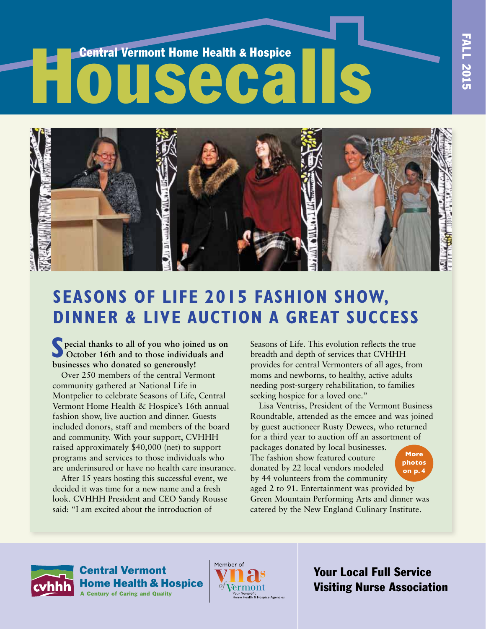# Entral Vermont Home Health & Hospice<br>
HOUSECAILS



# **SEASONS OF LIFE 2015 FASHION SHOW, DINNER & LIVE AUCTION A gREAT SUCCESS**

**S** pecial thanks to all of you who joined us or October 16th and to those individuals and **pecial thanks to all of you who joined us on businesses who donated so generously!**

Over 250 members of the central Vermont community gathered at National Life in Montpelier to celebrate Seasons of Life, Central Vermont Home Health & Hospice's 16th annual fashion show, live auction and dinner. Guests included donors, staff and members of the board and community. With your support, CVHHH raised approximately \$40,000 (net) to support programs and services to those individuals who are underinsured or have no health care insurance.

After 15 years hosting this successful event, we decided it was time for a new name and a fresh look. CVHHH President and CEO Sandy Rousse said: "I am excited about the introduction of

Seasons of Life. This evolution reflects the true breadth and depth of services that CVHHH provides for central Vermonters of all ages, from moms and newborns, to healthy, active adults needing post-surgery rehabilitation, to families seeking hospice for a loved one."

Lisa Ventriss, President of the Vermont Business Roundtable, attended as the emcee and was joined by guest auctioneer Rusty Dewees, who returned for a third year to auction off an assortment of

packages donated by local businesses. The fashion show featured couture donated by 22 local vendors modeled by 44 volunteers from the community

**More photos on p. 4**

aged 2 to 91. Entertainment was provided by Green Mountain Performing Arts and dinner was catered by the New England Culinary Institute.



**Central Vermont Home Health & Hospice A Century of Caring and Quality** 



Your Local Full Service Visiting Nurse Association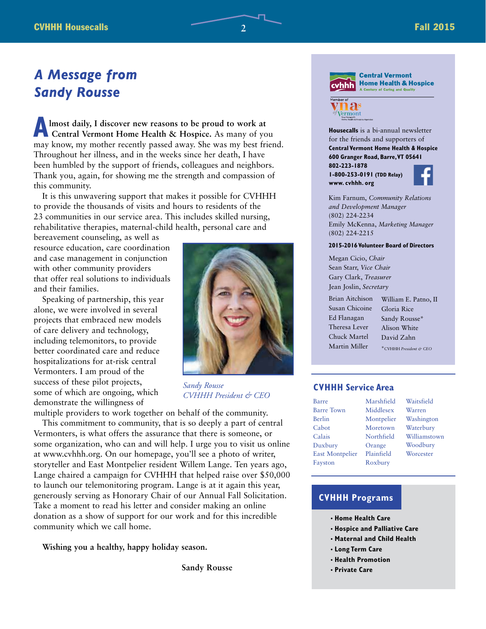# *A Message from Sandy Rousse*

**A** lmost daily, I discover new reasons to be proud to work at Central Vermont Home Health & Hospice. As many of you may know, my mother recently passed away. She was my best friend. **lmost daily, I discover new reasons to be proud to work at Central Vermont Home Health & Hospice.** As many of you Throughout her illness, and in the weeks since her death, I have been humbled by the support of friends, colleagues and neighbors. Thank you, again, for showing me the strength and compassion of this community.

It is this unwavering support that makes it possible for CVHHH to provide the thousands of visits and hours to residents of the 23 communities in our service area. This includes skilled nursing, rehabilitative therapies, maternal-child health, personal care and

bereavement counseling, as well as resource education, care coordination and case management in conjunction with other community providers that offer real solutions to individuals and their families.

Speaking of partnership, this year alone, we were involved in several projects that embraced new models of care delivery and technology, including telemonitors, to provide better coordinated care and reduce hospitalizations for at-risk central Vermonters. I am proud of the success of these pilot projects, some of which are ongoing, which demonstrate the willingness of



**COMPUTER** 

*Sandy Rousse CVHHH President & CEO*

multiple providers to work together on behalf of the community. This commitment to community, that is so deeply a part of central Vermonters, is what offers the assurance that there is someone, or some organization, who can and will help. I urge you to visit us online at www.cvhhh.org. On our homepage, you'll see a photo of writer, storyteller and East Montpelier resident Willem Lange. Ten years ago, Lange chaired a campaign for CVHHH that helped raise over \$50,000 to launch our telemonitoring program. Lange is at it again this year, generously serving as Honorary Chair of our Annual Fall Solicitation. Take a moment to read his letter and consider making an online donation as a show of support for our work and for this incredible community which we call home.

**Wishing you a healthy, happy holiday season.**

 **Sandy Rousse**



**Central Vermont Home Health & Hospice** 



**Housecalls** is a bi-annual newsletter for the friends and supporters of **Central Vermont Home Health & Hospice 600 granger Road, Barre, VT 05641 802-223-1878** 

**1-800-253-0191 (TDD Relay) www. cvhhh. org**



Kim Farnum, *Community Relations and Development Manager* (802) 224-2234 Emily McKenna, *Marketing Manager*  (802) 224-2215

### **2015-2016 Volunteer Board of Directors**

Megan Cicio, *Chair*  Sean Starr, *Vice Chair*  Gary Clark, *Treasurer* Jean Joslin, *Secretary*

Brian Aitchison Susan Chicoine Ed Flanagan Theresa Lever Chuck Martel Martin Miller William E. Patno, II

Gloria Rice Sandy Rousse\* Alison White David Zahn

### \*CVHHH *President & CEO*

### **CVHHH Service Area**

| Barre                  | Marshfield | Waitsfield   |
|------------------------|------------|--------------|
| <b>Barre Town</b>      | Middlesex  | Warren       |
| Berlin                 | Montpelier | Washington   |
| Cabot                  | Moretown   | Waterbury    |
| Calais                 | Northfield | Williamstown |
| Duxbury                | Orange     | Woodbury     |
| <b>East Montpelier</b> | Plainfield | Worcester    |
| Fayston                | Roxbury    |              |
|                        |            |              |

### **CVHHH Programs**

- **• Home Health Care**
- **• Hospice and Palliative Care**
- **• Maternal and Child Health**
- **• Long Term Care**
- **• Health Promotion**
- **• Private Care**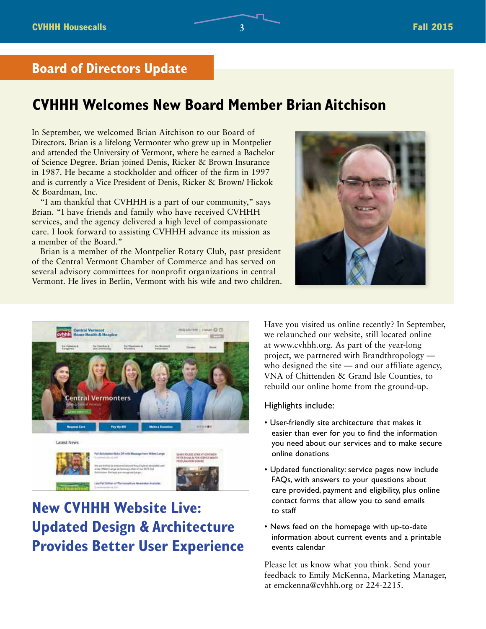### **Board of Directors Update**

# **CVHHH Welcomes New Board Member Brian Aitchison**

In September, we welcomed Brian Aitchison to our Board of Directors. Brian is a lifelong Vermonter who grew up in Montpelier and attended the University of Vermont, where he earned a Bachelor of Science Degree. Brian joined Denis, Ricker & Brown Insurance in 1987. He became a stockholder and officer of the firm in 1997 and is currently a Vice President of Denis, Ricker & Brown/ Hickok & Boardman, Inc.

"I am thankful that CVHHH is a part of our community," says Brian. "I have friends and family who have received CVHHH services, and the agency delivered a high level of compassionate care. I look forward to assisting CVHHH advance its mission as a member of the Board."

Brian is a member of the Montpelier Rotary Club, past president of the Central Vermont Chamber of Commerce and has served on several advisory committees for nonprofit organizations in central Vermont. He lives in Berlin, Vermont with his wife and two children.





# **New CVHHH Website Live: Updated Design & Architecture Provides Better User Experience**

Have you visited us online recently? In September, we relaunched our website, still located online at www.cvhhh.org. As part of the year-long project, we partnered with Brandthropology who designed the site — and our affiliate agency, VNA of Chittenden & Grand Isle Counties, to rebuild our online home from the ground-up.

### Highlights include:

- User-friendly site architecture that makes it easier than ever for you to find the information you need about our services and to make secure online donations
- Updated functionality: service pages now include FAQs, with answers to your questions about care provided, payment and eligibility, plus online contact forms that allow you to send emails to staff
- News feed on the homepage with up-to-date information about current events and a printable events calendar

Please let us know what you think. Send your feedback to Emily McKenna, Marketing Manager, at emckenna@cvhhh.org or 224-2215.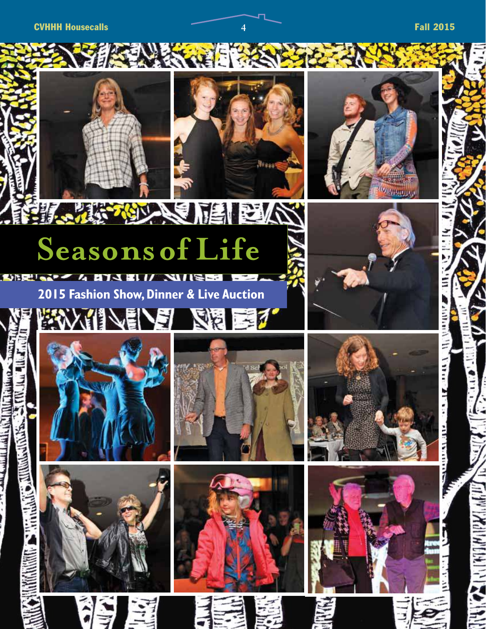**CVHHH Housecalls 1 Fall 2015** 





# ∖€ **VEI SNAK** 不同小人 **Seasons of Life**

**NURE** 

### **2015 Fashion Show, Dinner & Live AuctionSE**  $= 7$ F

**EXAMPLE** 





**SALE ALC** 





















H

 $\mathbf{H}$ 

all he and the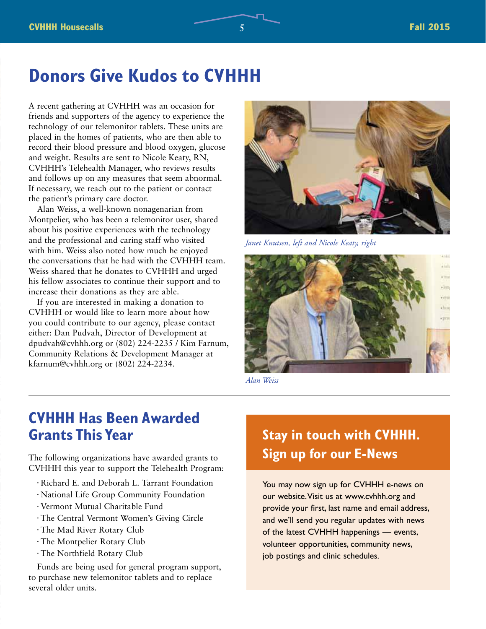# **Donors give Kudos to CVHHH**

A recent gathering at CVHHH was an occasion for friends and supporters of the agency to experience the technology of our telemonitor tablets. These units are placed in the homes of patients, who are then able to record their blood pressure and blood oxygen, glucose and weight. Results are sent to Nicole Keaty, RN, CVHHH's Telehealth Manager, who reviews results and follows up on any measures that seem abnormal. If necessary, we reach out to the patient or contact the patient's primary care doctor.

Alan Weiss, a well-known nonagenarian from Montpelier, who has been a telemonitor user, shared about his positive experiences with the technology and the professional and caring staff who visited with him. Weiss also noted how much he enjoyed the conversations that he had with the CVHHH team. Weiss shared that he donates to CVHHH and urged his fellow associates to continue their support and to increase their donations as they are able.

If you are interested in making a donation to CVHHH or would like to learn more about how you could contribute to our agency, please contact either: Dan Pudvah, Director of Development at dpudvah@cvhhh.org or (802) 224-2235 / Kim Farnum, Community Relations & Development Manager at kfarnum@cvhhh.org or (802) 224-2234.



*Janet Knutsen, left and Nicole Keaty, right*



*Alan Weiss*

# **CVHHH Has Been Awarded grants This Year**

The following organizations have awarded grants to CVHHH this year to support the Telehealth Program:

- Richard E. and Deborah L. Tarrant Foundation
- National Life Group Community Foundation
- Vermont Mutual Charitable Fund
- The Central Vermont Women's Giving Circle
- The Mad River Rotary Club
- The Montpelier Rotary Club
- The Northfield Rotary Club

Funds are being used for general program support, to purchase new telemonitor tablets and to replace several older units.

# **Stay in touch with CVHHH. Sign up for our E-News**

You may now sign up for CVHHH e-news on our website. Visit us at www.cvhhh.org and provide your first, last name and email address, and we'll send you regular updates with news of the latest CVHHH happenings — events, volunteer opportunities, community news, job postings and clinic schedules.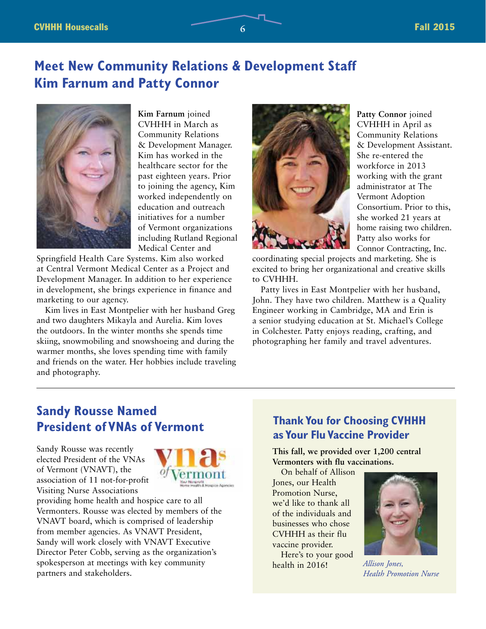# **Meet New Community Relations & Development Staff Kim Farnum and Patty Connor**



**Kim Farnum** joined CVHHH in March as Community Relations & Development Manager. Kim has worked in the healthcare sector for the past eighteen years. Prior to joining the agency, Kim worked independently on education and outreach initiatives for a number of Vermont organizations including Rutland Regional Medical Center and

Springfield Health Care Systems. Kim also worked at Central Vermont Medical Center as a Project and Development Manager. In addition to her experience in development, she brings experience in finance and marketing to our agency.

Kim lives in East Montpelier with her husband Greg and two daughters Mikayla and Aurelia. Kim loves the outdoors. In the winter months she spends time skiing, snowmobiling and snowshoeing and during the warmer months, she loves spending time with family and friends on the water. Her hobbies include traveling and photography.



**Patty Connor** joined CVHHH in April as Community Relations & Development Assistant. She re-entered the workforce in 2013 working with the grant administrator at The Vermont Adoption Consortium. Prior to this, she worked 21 years at home raising two children. Patty also works for Connor Contracting, Inc.

coordinating special projects and marketing. She is excited to bring her organizational and creative skills to CVHHH.

Patty lives in East Montpelier with her husband, John. They have two children. Matthew is a Quality Engineer working in Cambridge, MA and Erin is a senior studying education at St. Michael's College in Colchester. Patty enjoys reading, crafting, and photographing her family and travel adventures.

# **Sandy Rousse Named President of VNAs of Vermont**

Sandy Rousse was recently elected President of the VNAs of Vermont (VNAVT), the association of 11 not-for-profit Visiting Nurse Associations



providing home health and hospice care to all Vermonters. Rousse was elected by members of the VNAVT board, which is comprised of leadership from member agencies. As VNAVT President, Sandy will work closely with VNAVT Executive Director Peter Cobb, serving as the organization's spokesperson at meetings with key community partners and stakeholders.

### **Thank You for Choosing CVHHH as Your Flu Vaccine Provider**

**This fall, we provided over 1,200 central Vermonters with flu vaccinations.**

On behalf of Allison Jones, our Health Promotion Nurse, we'd like to thank all of the individuals and businesses who chose CVHHH as their flu vaccine provider. Here's to your good health in 2016!



*Allison Jones, Health Promotion Nurse*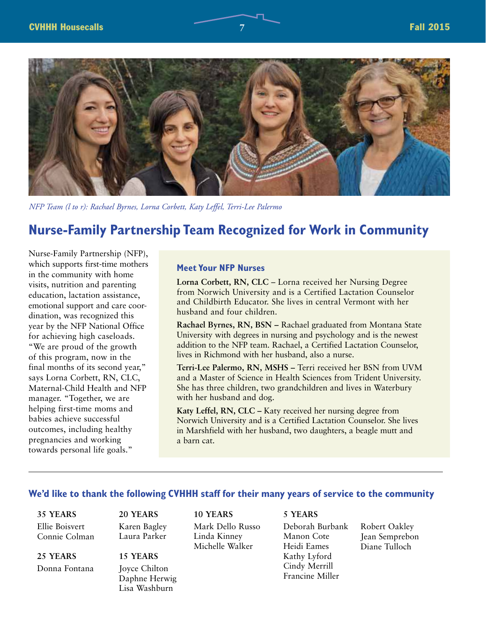

*NFP Team (l to r): Rachael Byrnes, Lorna Corbett, Katy Leffel, Terri-Lee Palermo*

# **Nurse-Family Partnership Team Recognized for Work in Community**

Nurse-Family Partnership (NFP), which supports first-time mothers in the community with home visits, nutrition and parenting education, lactation assistance, emotional support and care coordination, was recognized this year by the NFP National Office for achieving high caseloads. "We are proud of the growth of this program, now in the final months of its second year," says Lorna Corbett, RN, CLC, Maternal-Child Health and NFP manager. "Together, we are helping first-time moms and babies achieve successful outcomes, including healthy pregnancies and working towards personal life goals."

### **Meet Your NFP Nurses**

**Lorna Corbett, RN, CLC** – Lorna received her Nursing Degree from Norwich University and is a Certified Lactation Counselor and Childbirth Educator. She lives in central Vermont with her husband and four children.

**Rachael Byrnes, RN, BSN –** Rachael graduated from Montana State University with degrees in nursing and psychology and is the newest addition to the NFP team. Rachael, a Certified Lactation Counselor, lives in Richmond with her husband, also a nurse.

**Terri-Lee Palermo, RN, MSHS –** Terri received her BSN from UVM and a Master of Science in Health Sciences from Trident University. She has three children, two grandchildren and lives in Waterbury with her husband and dog.

**Katy Leffel, RN, CLC –** Katy received her nursing degree from Norwich University and is a Certified Lactation Counselor. She lives in Marshfield with her husband, two daughters, a beagle mutt and a barn cat.

### **We'd like to thank the following CVHHH staff for their many years of service to the community**

**10 YEARS**

**35 YEARS** Ellie Boisvert Connie Colman

**25 YEARS** Donna Fontana **20 YEARS** Karen Bagley Laura Parker

### **15 YEARS**

Joyce Chilton Daphne Herwig Lisa Washburn

Mark Dello Russo Linda Kinney Michelle Walker

**5 YEARS**

Deborah Burbank Manon Cote Heidi Eames Kathy Lyford Cindy Merrill Francine Miller

Robert Oakley Jean Semprebon Diane Tulloch